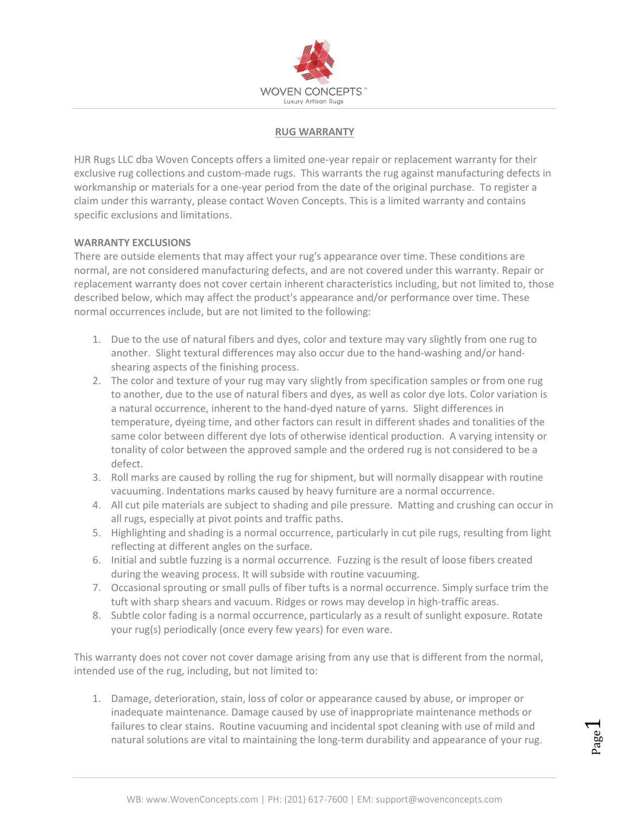

### RUG WARRANTY

HJR Rugs LLC dba Woven Concepts offers a limited one-year repair or replacement warranty for their exclusive rug collections and custom-made rugs. This warrants the rug against manufacturing defects in workmanship or materials for a one-year period from the date of the original purchase. To register a claim under this warranty, please contact Woven Concepts. This is a limited warranty and contains specific exclusions and limitations.

### WARRANTY EXCLUSIONS

There are outside elements that may affect your rug's appearance over time. These conditions are normal, are not considered manufacturing defects, and are not covered under this warranty. Repair or replacement warranty does not cover certain inherent characteristics including, but not limited to, those described below, which may affect the product's appearance and/or performance over time. These normal occurrences include, but are not limited to the following:

- 1. Due to the use of natural fibers and dyes, color and texture may vary slightly from one rug to another. Slight textural differences may also occur due to the hand-washing and/or handshearing aspects of the finishing process.
- 2. The color and texture of your rug may vary slightly from specification samples or from one rug to another, due to the use of natural fibers and dyes, as well as color dye lots. Color variation is a natural occurrence, inherent to the hand-dyed nature of yarns. Slight differences in temperature, dyeing time, and other factors can result in different shades and tonalities of the same color between different dye lots of otherwise identical production. A varying intensity or tonality of color between the approved sample and the ordered rug is not considered to be a defect.
- 3. Roll marks are caused by rolling the rug for shipment, but will normally disappear with routine vacuuming. Indentations marks caused by heavy furniture are a normal occurrence.
- 4. All cut pile materials are subject to shading and pile pressure. Matting and crushing can occur in all rugs, especially at pivot points and traffic paths.
- 5. Highlighting and shading is a normal occurrence, particularly in cut pile rugs, resulting from light reflecting at different angles on the surface.
- 6. Initial and subtle fuzzing is a normal occurrence. Fuzzing is the result of loose fibers created during the weaving process. It will subside with routine vacuuming.
- 7. Occasional sprouting or small pulls of fiber tufts is a normal occurrence. Simply surface trim the tuft with sharp shears and vacuum. Ridges or rows may develop in high-traffic areas.
- 8. Subtle color fading is a normal occurrence, particularly as a result of sunlight exposure. Rotate your rug(s) periodically (once every few years) for even ware.

This warranty does not cover not cover damage arising from any use that is different from the normal, intended use of the rug, including, but not limited to:

WB: www.WovenConcepts.com | PH: (201) 617-7600 | EM: support@wovenconcepts.com 1. Damage, deterioration, stain, loss of color or appearance caused by abuse, or improper or inadequate maintenance. Damage caused by use of inappropriate maintenance methods or failures to clear stains. Routine vacuuming and incidental spot cleaning with use of mild and natural solutions are vital to maintaining the long-term durability and appearance of your rug.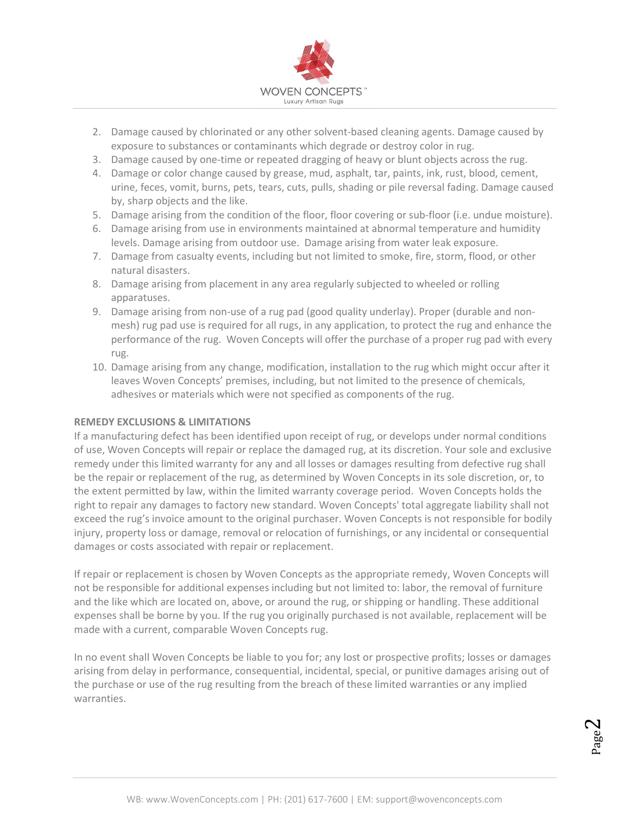

- 2. Damage caused by chlorinated or any other solvent-based cleaning agents. Damage caused by exposure to substances or contaminants which degrade or destroy color in rug.
- 3. Damage caused by one-time or repeated dragging of heavy or blunt objects across the rug.
- 4. Damage or color change caused by grease, mud, asphalt, tar, paints, ink, rust, blood, cement, urine, feces, vomit, burns, pets, tears, cuts, pulls, shading or pile reversal fading. Damage caused by, sharp objects and the like.
- 5. Damage arising from the condition of the floor, floor covering or sub-floor (i.e. undue moisture).
- 6. Damage arising from use in environments maintained at abnormal temperature and humidity levels. Damage arising from outdoor use. Damage arising from water leak exposure.
- 7. Damage from casualty events, including but not limited to smoke, fire, storm, flood, or other natural disasters.
- 8. Damage arising from placement in any area regularly subjected to wheeled or rolling apparatuses.
- 9. Damage arising from non-use of a rug pad (good quality underlay). Proper (durable and nonmesh) rug pad use is required for all rugs, in any application, to protect the rug and enhance the performance of the rug. Woven Concepts will offer the purchase of a proper rug pad with every rug.
- 10. Damage arising from any change, modification, installation to the rug which might occur after it leaves Woven Concepts' premises, including, but not limited to the presence of chemicals, adhesives or materials which were not specified as components of the rug.

# REMEDY EXCLUSIONS & LIMITATIONS

If a manufacturing defect has been identified upon receipt of rug, or develops under normal conditions of use, Woven Concepts will repair or replace the damaged rug, at its discretion. Your sole and exclusive remedy under this limited warranty for any and all losses or damages resulting from defective rug shall be the repair or replacement of the rug, as determined by Woven Concepts in its sole discretion, or, to the extent permitted by law, within the limited warranty coverage period. Woven Concepts holds the right to repair any damages to factory new standard. Woven Concepts' total aggregate liability shall not exceed the rug's invoice amount to the original purchaser. Woven Concepts is not responsible for bodily injury, property loss or damage, removal or relocation of furnishings, or any incidental or consequential damages or costs associated with repair or replacement.

If repair or replacement is chosen by Woven Concepts as the appropriate remedy, Woven Concepts will not be responsible for additional expenses including but not limited to: labor, the removal of furniture and the like which are located on, above, or around the rug, or shipping or handling. These additional expenses shall be borne by you. If the rug you originally purchased is not available, replacement will be made with a current, comparable Woven Concepts rug.

In no event shall Woven Concepts be liable to you for; any lost or prospective profits; losses or damages arising from delay in performance, consequential, incidental, special, or punitive damages arising out of the purchase or use of the rug resulting from the breach of these limited warranties or any implied warranties.